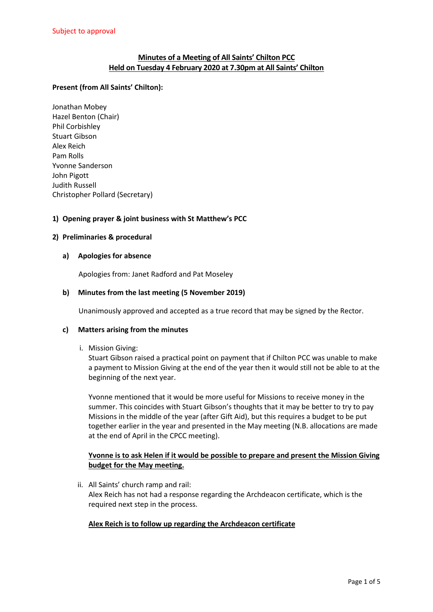# **Minutes of a Meeting of All Saints' Chilton PCC Held on Tuesday 4 February 2020 at 7.30pm at All Saints' Chilton**

## **Present (from All Saints' Chilton):**

Jonathan Mobey Hazel Benton (Chair) Phil Corbishley Stuart Gibson Alex Reich Pam Rolls Yvonne Sanderson John Pigott Judith Russell Christopher Pollard (Secretary)

## **1) Opening prayer & joint business with St Matthew's PCC**

### **2) Preliminaries & procedural**

### **a) Apologies for absence**

Apologies from: Janet Radford and Pat Moseley

### **b) Minutes from the last meeting (5 November 2019)**

Unanimously approved and accepted as a true record that may be signed by the Rector.

#### **c) Matters arising from the minutes**

i. Mission Giving:

Stuart Gibson raised a practical point on payment that if Chilton PCC was unable to make a payment to Mission Giving at the end of the year then it would still not be able to at the beginning of the next year.

Yvonne mentioned that it would be more useful for Missions to receive money in the summer. This coincides with Stuart Gibson's thoughts that it may be better to try to pay Missions in the middle of the year (after Gift Aid), but this requires a budget to be put together earlier in the year and presented in the May meeting (N.B. allocations are made at the end of April in the CPCC meeting).

## **Yvonne is to ask Helen if it would be possible to prepare and present the Mission Giving budget for the May meeting.**

ii. All Saints' church ramp and rail: Alex Reich has not had a response regarding the Archdeacon certificate, which is the required next step in the process.

## **Alex Reich is to follow up regarding the Archdeacon certificate**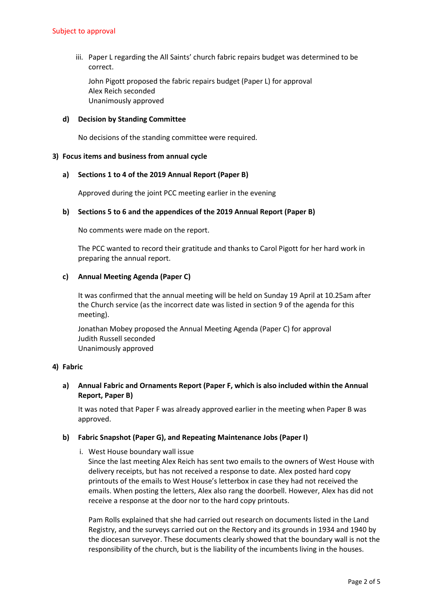iii. Paper L regarding the All Saints' church fabric repairs budget was determined to be correct.

John Pigott proposed the fabric repairs budget (Paper L) for approval Alex Reich seconded Unanimously approved

### **d) Decision by Standing Committee**

No decisions of the standing committee were required.

### **3) Focus items and business from annual cycle**

### **a) Sections 1 to 4 of the 2019 Annual Report (Paper B)**

Approved during the joint PCC meeting earlier in the evening

### **b) Sections 5 to 6 and the appendices of the 2019 Annual Report (Paper B)**

No comments were made on the report.

The PCC wanted to record their gratitude and thanks to Carol Pigott for her hard work in preparing the annual report.

### **c) Annual Meeting Agenda (Paper C)**

It was confirmed that the annual meeting will be held on Sunday 19 April at 10.25am after the Church service (as the incorrect date was listed in section 9 of the agenda for this meeting).

Jonathan Mobey proposed the Annual Meeting Agenda (Paper C) for approval Judith Russell seconded Unanimously approved

#### **4) Fabric**

# **a) Annual Fabric and Ornaments Report (Paper F, which is also included within the Annual Report, Paper B)**

It was noted that Paper F was already approved earlier in the meeting when Paper B was approved.

#### **b) Fabric Snapshot (Paper G), and Repeating Maintenance Jobs (Paper I)**

i. West House boundary wall issue

Since the last meeting Alex Reich has sent two emails to the owners of West House with delivery receipts, but has not received a response to date. Alex posted hard copy printouts of the emails to West House's letterbox in case they had not received the emails. When posting the letters, Alex also rang the doorbell. However, Alex has did not receive a response at the door nor to the hard copy printouts.

Pam Rolls explained that she had carried out research on documents listed in the Land Registry, and the surveys carried out on the Rectory and its grounds in 1934 and 1940 by the diocesan surveyor. These documents clearly showed that the boundary wall is not the responsibility of the church, but is the liability of the incumbents living in the houses.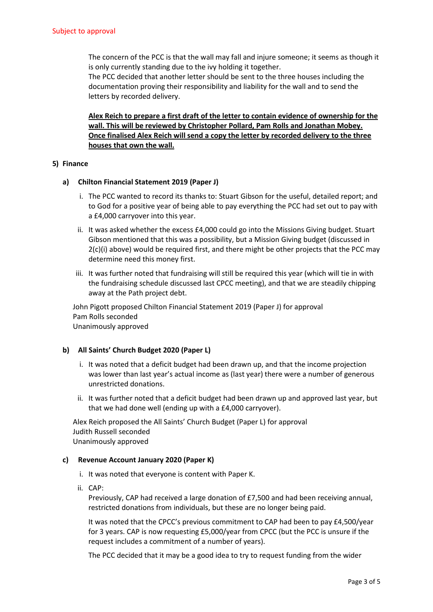The concern of the PCC is that the wall may fall and injure someone; it seems as though it is only currently standing due to the ivy holding it together.

The PCC decided that another letter should be sent to the three houses including the documentation proving their responsibility and liability for the wall and to send the letters by recorded delivery.

**Alex Reich to prepare a first draft of the letter to contain evidence of ownership for the wall. This will be reviewed by Christopher Pollard, Pam Rolls and Jonathan Mobey. Once finalised Alex Reich will send a copy the letter by recorded delivery to the three houses that own the wall.** 

## **5) Finance**

## **a) Chilton Financial Statement 2019 (Paper J)**

- i. The PCC wanted to record its thanks to: Stuart Gibson for the useful, detailed report; and to God for a positive year of being able to pay everything the PCC had set out to pay with a £4,000 carryover into this year.
- ii. It was asked whether the excess £4,000 could go into the Missions Giving budget. Stuart Gibson mentioned that this was a possibility, but a Mission Giving budget (discussed in  $2(c)(i)$  above) would be required first, and there might be other projects that the PCC may determine need this money first.
- iii. It was further noted that fundraising will still be required this year (which will tie in with the fundraising schedule discussed last CPCC meeting), and that we are steadily chipping away at the Path project debt.

John Pigott proposed Chilton Financial Statement 2019 (Paper J) for approval Pam Rolls seconded Unanimously approved

## **b) All Saints' Church Budget 2020 (Paper L)**

- i. It was noted that a deficit budget had been drawn up, and that the income projection was lower than last year's actual income as (last year) there were a number of generous unrestricted donations.
- ii. It was further noted that a deficit budget had been drawn up and approved last year, but that we had done well (ending up with a £4,000 carryover).

Alex Reich proposed the All Saints' Church Budget (Paper L) for approval Judith Russell seconded Unanimously approved

#### **c) Revenue Account January 2020 (Paper K)**

- i. It was noted that everyone is content with Paper K.
- ii. CAP:

Previously, CAP had received a large donation of £7,500 and had been receiving annual, restricted donations from individuals, but these are no longer being paid.

It was noted that the CPCC's previous commitment to CAP had been to pay £4,500/year for 3 years. CAP is now requesting £5,000/year from CPCC (but the PCC is unsure if the request includes a commitment of a number of years).

The PCC decided that it may be a good idea to try to request funding from the wider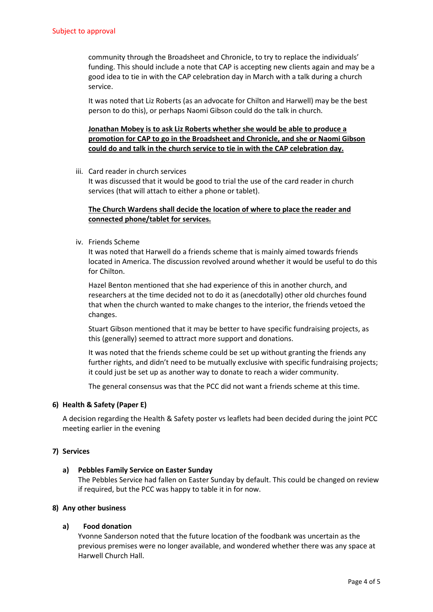community through the Broadsheet and Chronicle, to try to replace the individuals' funding. This should include a note that CAP is accepting new clients again and may be a good idea to tie in with the CAP celebration day in March with a talk during a church service.

It was noted that Liz Roberts (as an advocate for Chilton and Harwell) may be the best person to do this), or perhaps Naomi Gibson could do the talk in church.

# **Jonathan Mobey is to ask Liz Roberts whether she would be able to produce a promotion for CAP to go in the Broadsheet and Chronicle, and she or Naomi Gibson could do and talk in the church service to tie in with the CAP celebration day.**

iii. Card reader in church services

It was discussed that it would be good to trial the use of the card reader in church services (that will attach to either a phone or tablet).

# **The Church Wardens shall decide the location of where to place the reader and connected phone/tablet for services.**

iv. Friends Scheme

It was noted that Harwell do a friends scheme that is mainly aimed towards friends located in America. The discussion revolved around whether it would be useful to do this for Chilton.

Hazel Benton mentioned that she had experience of this in another church, and researchers at the time decided not to do it as (anecdotally) other old churches found that when the church wanted to make changes to the interior, the friends vetoed the changes.

Stuart Gibson mentioned that it may be better to have specific fundraising projects, as this (generally) seemed to attract more support and donations.

It was noted that the friends scheme could be set up without granting the friends any further rights, and didn't need to be mutually exclusive with specific fundraising projects; it could just be set up as another way to donate to reach a wider community.

The general consensus was that the PCC did not want a friends scheme at this time.

## **6) Health & Safety (Paper E)**

A decision regarding the Health & Safety poster vs leaflets had been decided during the joint PCC meeting earlier in the evening

## **7) Services**

## **a) Pebbles Family Service on Easter Sunday**

The Pebbles Service had fallen on Easter Sunday by default. This could be changed on review if required, but the PCC was happy to table it in for now.

## **8) Any other business**

## **a) Food donation**

Yvonne Sanderson noted that the future location of the foodbank was uncertain as the previous premises were no longer available, and wondered whether there was any space at Harwell Church Hall.